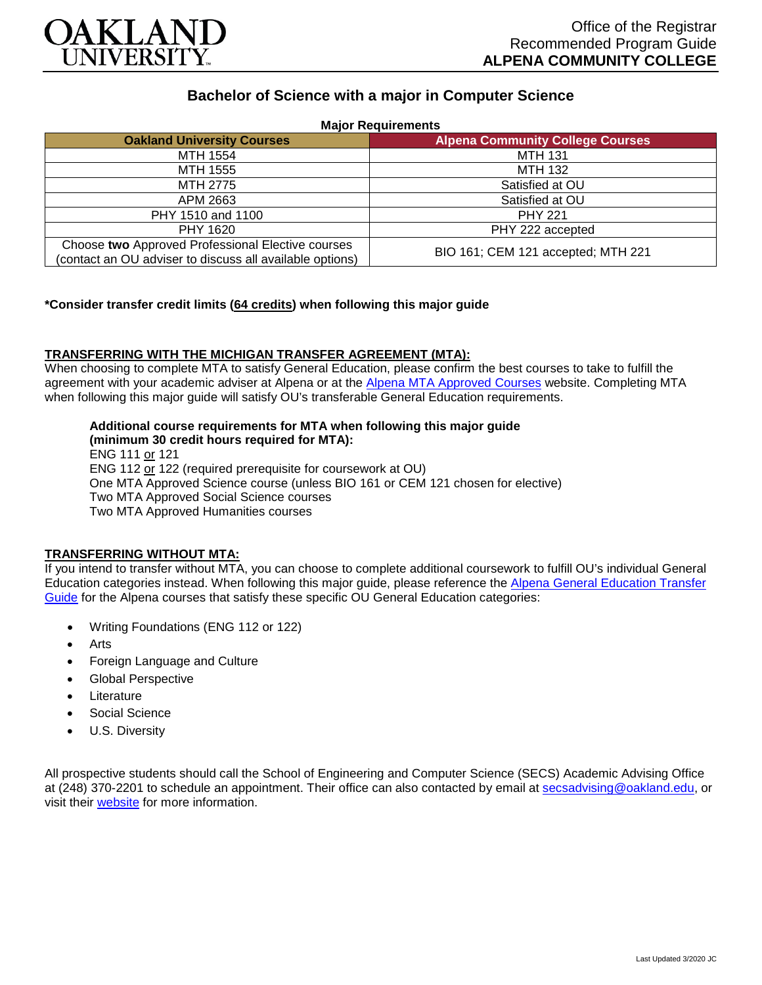

# **Bachelor of Science with a major in Computer Science**

| <b>Major Requirements</b>                                                                                     |                                         |
|---------------------------------------------------------------------------------------------------------------|-----------------------------------------|
| <b>Oakland University Courses</b>                                                                             | <b>Alpena Community College Courses</b> |
| MTH 1554                                                                                                      | <b>MTH 131</b>                          |
| MTH 1555                                                                                                      | MTH 132                                 |
| MTH 2775                                                                                                      | Satisfied at OU                         |
| APM 2663                                                                                                      | Satisfied at OU                         |
| PHY 1510 and 1100                                                                                             | <b>PHY 221</b>                          |
| PHY 1620                                                                                                      | PHY 222 accepted                        |
| Choose two Approved Professional Elective courses<br>(contact an OU adviser to discuss all available options) | BIO 161; CEM 121 accepted; MTH 221      |

## **\*Consider transfer credit limits (64 credits) when following this major guide**

### **TRANSFERRING WITH THE MICHIGAN TRANSFER AGREEMENT (MTA):**

When choosing to complete MTA to satisfy General Education, please confirm the best courses to take to fulfill the agreement with your academic adviser at Alpena or at the [Alpena MTA Approved Courses](https://discover.alpenacc.edu/admissions/current_students/MTA.php) website. Completing MTA when following this major guide will satisfy OU's transferable General Education requirements.

# **Additional course requirements for MTA when following this major guide**

**(minimum 30 credit hours required for MTA):** ENG 111 or 121 ENG 112 or 122 (required prerequisite for coursework at OU) One MTA Approved Science course (unless BIO 161 or CEM 121 chosen for elective) Two MTA Approved Social Science courses Two MTA Approved Humanities courses

### **TRANSFERRING WITHOUT MTA:**

If you intend to transfer without MTA, you can choose to complete additional coursework to fulfill OU's individual General Education categories instead. When following this major guide, please reference the [Alpena General Education Transfer](https://www.oakland.edu/Assets/Oakland/program-guides/alpena-community-college/university-general-education-requirements/Alpena%20Gen%20Ed.pdf)  [Guide](https://www.oakland.edu/Assets/Oakland/program-guides/alpena-community-college/university-general-education-requirements/Alpena%20Gen%20Ed.pdf) for the Alpena courses that satisfy these specific OU General Education categories:

- Writing Foundations (ENG 112 or 122)
- **Arts**
- Foreign Language and Culture
- Global Perspective
- **Literature**
- Social Science
- U.S. Diversity

All prospective students should call the School of Engineering and Computer Science (SECS) Academic Advising Office at (248) 370-2201 to schedule an appointment. Their office can also contacted by email at [secsadvising@oakland.edu,](mailto:secsadvising@oakland.edu) or visit their [website](https://wwwp.oakland.edu/secs/advising/) for more information.